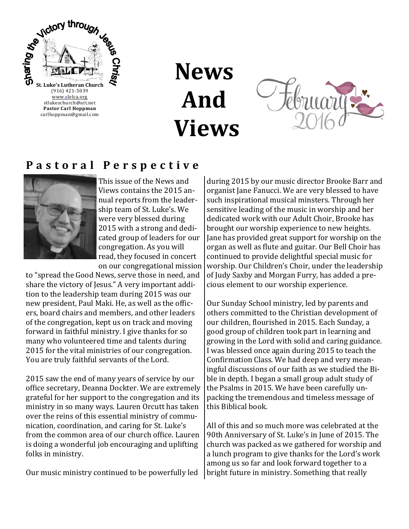

**News And Views**



#### **P a s t o r a l P e r s p e c t i v e**



This issue of the News and Views contains the 2015 annual reports from the leadership team of St. Luke's. We were very blessed during 2015 with a strong and dedicated group of leaders for our congregation. As you will read, they focused in concert on our congregational mission

to "spread the Good News, serve those in need, and share the victory of Jesus." A very important addition to the leadership team during 2015 was our new president, Paul Maki. He, as well as the officers, board chairs and members, and other leaders of the congregation, kept us on track and moving forward in faithful ministry. I give thanks for so many who volunteered time and talents during 2015 for the vital ministries of our congregation. You are truly faithful servants of the Lord.

2015 saw the end of many years of service by our office secretary, Deanna Dockter. We are extremely grateful for her support to the congregation and its ministry in so many ways. Lauren Orcutt has taken over the reins of this essential ministry of communication, coordination, and caring for St. Luke's from the common area of our church office. Lauren is doing a wonderful job encouraging and uplifting folks in ministry.

Our music ministry continued to be powerfully led

during 2015 by our music director Brooke Barr and organist Jane Fanucci. We are very blessed to have such inspirational musical minsters. Through her sensitive leading of the music in worship and her dedicated work with our Adult Choir, Brooke has brought our worship experience to new heights. Jane has provided great support for worship on the organ as well as flute and guitar. Our Bell Choir has continued to provide delightful special music for worship. Our Children's Choir, under the leadership of Judy Saxby and Morgan Furry, has added a precious element to our worship experience.

Our Sunday School ministry, led by parents and others committed to the Christian development of our children, flourished in 2015. Each Sunday, a good group of children took part in learning and growing in the Lord with solid and caring guidance. I was blessed once again during 2015 to teach the Confirmation Class. We had deep and very meaningful discussions of our faith as we studied the Bible in depth. I began a small group adult study of the Psalms in 2015. We have been carefully unpacking the tremendous and timeless message of this Biblical book.

All of this and so much more was celebrated at the 90th Anniversary of St. Luke's in June of 2015. The church was packed as we gathered for worship and a lunch program to give thanks for the Lord's work among us so far and look forward together to a bright future in ministry. Something that really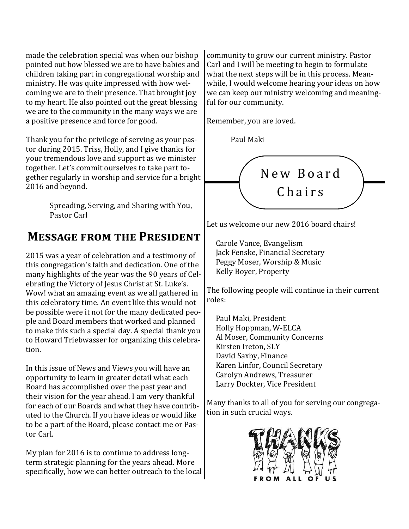made the celebration special was when our bishop pointed out how blessed we are to have babies and children taking part in congregational worship and ministry. He was quite impressed with how welcoming we are to their presence. That brought joy to my heart. He also pointed out the great blessing we are to the community in the many ways we are a positive presence and force for good.

Thank you for the privilege of serving as your pastor during 2015. Triss, Holly, and I give thanks for your tremendous love and support as we minister together. Let's commit ourselves to take part together regularly in worship and service for a bright 2016 and beyond.

> Spreading, Serving, and Sharing with You, Pastor Carl

### **Message from the President**

2015 was a year of celebration and a testimony of this congregation's faith and dedication. One of the many highlights of the year was the 90 years of Celebrating the Victory of Jesus Christ at St. Luke's. Wow! what an amazing event as we all gathered in this celebratory time. An event like this would not be possible were it not for the many dedicated people and Board members that worked and planned to make this such a special day. A special thank you to Howard Triebwasser for organizing this celebration.

In this issue of News and Views you will have an opportunity to learn in greater detail what each Board has accomplished over the past year and their vision for the year ahead. I am very thankful for each of our Boards and what they have contributed to the Church. If you have ideas or would like to be a part of the Board, please contact me or Pastor Carl.

My plan for 2016 is to continue to address longterm strategic planning for the years ahead. More specifically, how we can better outreach to the local

community to grow our current ministry. Pastor Carl and I will be meeting to begin to formulate what the next steps will be in this process. Meanwhile, I would welcome hearing your ideas on how we can keep our ministry welcoming and meaningful for our community.

Remember, you are loved.

Paul Maki



Let us welcome our new 2016 board chairs!

Carole Vance, Evangelism Jack Fenske, Financial Secretary Peggy Moser, Worship & Music Kelly Boyer, Property

The following people will continue in their current roles:

Paul Maki, President Holly Hoppman, W-ELCA Al Moser, Community Concerns Kirsten Ireton, SLY David Saxby, Finance Karen Linfor, Council Secretary Carolyn Andrews, Treasurer Larry Dockter, Vice President

Many thanks to all of you for serving our congregation in such crucial ways.

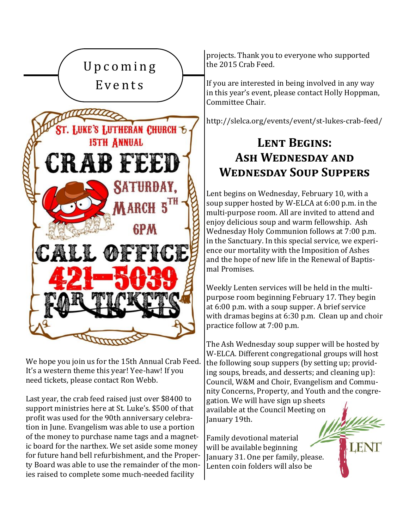

We hope you join us for the 15th Annual Crab Feed. It's a western theme this year! Yee-haw! If you need tickets, please contact Ron Webb.

Last year, the crab feed raised just over \$8400 to support ministries here at St. Luke's. \$500 of that profit was used for the 90th anniversary celebration in June. Evangelism was able to use a portion of the money to purchase name tags and a magnetic board for the narthex. We set aside some money for future hand bell refurbishment, and the Property Board was able to use the remainder of the monies raised to complete some much-needed facility

projects. Thank you to everyone who supported the 2015 Crab Feed.

If you are interested in being involved in any way in this year's event, please contact Holly Hoppman, Committee Chair.

http://slelca.org/events/event/st-lukes-crab-feed/

# **Lent Begins: Ash Wednesday and Wednesday Soup Suppers**

Lent begins on Wednesday, February 10, with a soup supper hosted by W-ELCA at 6:00 p.m. in the multi-purpose room. All are invited to attend and enjoy delicious soup and warm fellowship. Ash Wednesday Holy Communion follows at 7:00 p.m. in the Sanctuary. In this special service, we experience our mortality with the Imposition of Ashes and the hope of new life in the Renewal of Baptismal Promises.

Weekly Lenten services will be held in the multipurpose room beginning February 17. They begin at 6:00 p.m. with a soup supper. A brief service with dramas begins at 6:30 p.m. Clean up and choir practice follow at 7:00 p.m.

The Ash Wednesday soup supper will be hosted by W-ELCA. Different congregational groups will host the following soup suppers (by setting up; providing soups, breads, and desserts; and cleaning up): Council, W&M and Choir, Evangelism and Community Concerns, Property, and Youth and the congregation. We will have sign up sheets available at the Council Meeting on January 19th.

Family devotional material will be available beginning January 31. One per family, please. Lenten coin folders will also be

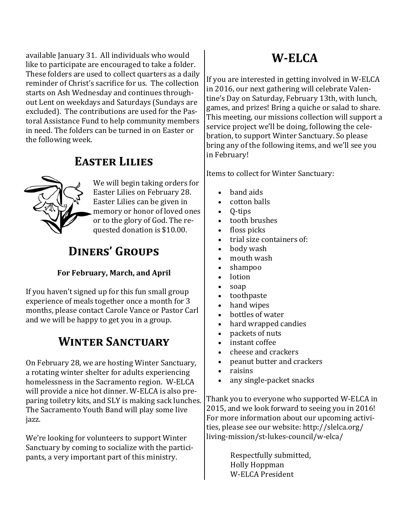available January 31. All individuals who would like to participate are encouraged to take a folder. These folders are used to collect quarters as a daily reminder of Christ's sacrifice for us. The collection starts on Ash Wednesday and continues throughout Lent on weekdays and Saturdays (Sundays are excluded). The contributions are used for the Pastoral Assistance Fund to help community members in need. The folders can be turned in on Easter or the following week.

### **Easter Lilies**



We will begin taking orders for Easter Lilies on February 28. Easter Lilies can be given in memory or honor of loved ones or to the glory of God. The requested donation is \$10.00.

## **Diners' Groups**

#### **For February, March, and April**

If you haven't signed up for this fun small group experience of meals together once a month for 3 months, please contact Carole Vance or Pastor Carl and we will be happy to get you in a group.

### **Winter Sanctuary**

On February 28, we are hosting Winter Sanctuary, a rotating winter shelter for adults experiencing homelessness in the Sacramento region. W-ELCA will provide a nice hot dinner. W-ELCA is also preparing toiletry kits, and SLY is making sack lunches. The Sacramento Youth Band will play some live jazz.

We're looking for volunteers to support Winter Sanctuary by coming to socialize with the participants, a very important part of this ministry.

### **W-ELCA**

If you are interested in getting involved in W-ELCA in 2016, our next gathering will celebrate Valentine's Day on Saturday, February 13th, with lunch, games, and prizes! Bring a quiche or salad to share. This meeting, our missions collection will support a service project we'll be doing, following the celebration, to support Winter Sanctuary. So please bring any of the following items, and we'll see you in February!

Items to collect for Winter Sanctuary:

- band aids
- cotton balls
- Q-tips
- tooth brushes
- floss picks
- trial size containers of:
- body wash
- mouth wash
- shampoo
- lotion
- soap
- toothpaste
- hand wipes
- bottles of water
- hard wrapped candies
- packets of nuts
- instant coffee
- cheese and crackers
- peanut butter and crackers
- raisins
- any single-packet snacks

Thank you to everyone who supported W-ELCA in 2015, and we look forward to seeing you in 2016! For more information about our upcoming activities, please see our website: http://slelca.org/ living-mission/st-lukes-council/w-elca/

> Respectfully submitted, Holly Hoppman W-ELCA President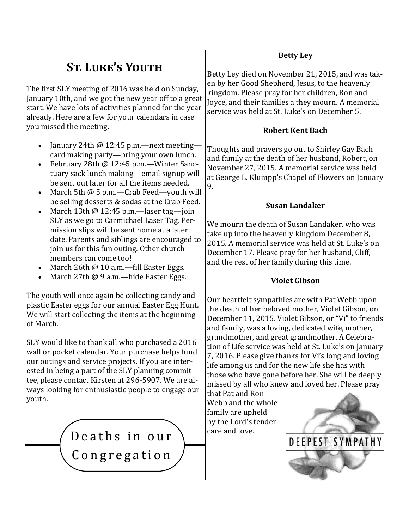# **St. Luke's Youth**

The first SLY meeting of 2016 was held on Sunday, January 10th, and we got the new year off to a great start. We have lots of activities planned for the year already. Here are a few for your calendars in case you missed the meeting.

- January 24th  $@12:45$  p.m.—next meeting card making party—bring your own lunch.
- February 28th @ 12:45 p.m.—Winter Sanctuary sack lunch making—email signup will be sent out later for all the items needed.
- March 5th @ 5 p.m.—Crab Feed—youth will be selling desserts & sodas at the Crab Feed.
- March 13th  $@$  12:45 p.m.—laser tag—join SLY as we go to Carmichael Laser Tag. Permission slips will be sent home at a later date. Parents and siblings are encouraged to join us for this fun outing. Other church members can come too!
- March 26th @ 10 a.m.—fill Easter Eggs.
- March 27th @ 9 a.m.—hide Easter Eggs.

The youth will once again be collecting candy and plastic Easter eggs for our annual Easter Egg Hunt. We will start collecting the items at the beginning of March.

SLY would like to thank all who purchased a 2016 wall or pocket calendar. Your purchase helps fund our outings and service projects. If you are interested in being a part of the SLY planning committee, please contact Kirsten at 296-5907. We are always looking for enthusiastic people to engage our youth.

> $Deaths in our$ **Congregation**

#### **Betty Ley**

Betty Ley died on November 21, 2015, and was taken by her Good Shepherd, Jesus, to the heavenly kingdom. Please pray for her children, Ron and Joyce, and their families a they mourn. A memorial service was held at St. Luke's on December 5.

#### **Robert Kent Bach**

Thoughts and prayers go out to Shirley Gay Bach and family at the death of her husband, Robert, on November 27, 2015. A memorial service was held at George L. Klumpp's Chapel of Flowers on January 9.

#### **Susan Landaker**

We mourn the death of Susan Landaker, who was take up into the heavenly kingdom December 8, 2015. A memorial service was held at St. Luke's on December 17. Please pray for her husband, Cliff, and the rest of her family during this time.

#### **Violet Gibson**

Our heartfelt sympathies are with Pat Webb upon the death of her beloved mother, Violet Gibson, on December 11, 2015. Violet Gibson, or "Vi" to friends and family, was a loving, dedicated wife, mother, grandmother, and great grandmother. A Celebration of Life service was held at St. Luke's on January 7, 2016. Please give thanks for Vi's long and loving life among us and for the new life she has with those who have gone before her. She will be deeply missed by all who knew and loved her. Please pray

that Pat and Ron Webb and the whole family are upheld by the Lord's tender

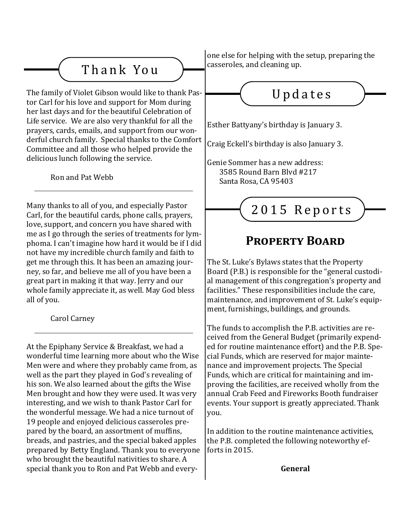# T h a n k Yo u

The family of Violet Gibson would like to thank Pastor Carl for his love and support for Mom during her last days and for the beautiful Celebration of Life service. We are also very thankful for all the prayers, cards, emails, and support from our wonderful church family. Special thanks to the Comfort Committee and all those who helped provide the delicious lunch following the service.

Ron and Pat Webb

Many thanks to all of you, and especially Pastor Carl, for the beautiful cards, phone calls, prayers, love, support, and concern you have shared with me as I go through the series of treatments for lymphoma. I can't imagine how hard it would be if I did not have my incredible church family and faith to get me through this. It has been an amazing journey, so far, and believe me all of you have been a great part in making it that way. Jerry and our whole family appreciate it, as well. May God bless all of you.

Carol Carney

At the Epiphany Service & Breakfast, we had a wonderful time learning more about who the Wise Men were and where they probably came from, as well as the part they played in God's revealing of his son. We also learned about the gifts the Wise Men brought and how they were used. It was very interesting, and we wish to thank Pastor Carl for the wonderful message. We had a nice turnout of 19 people and enjoyed delicious casseroles prepared by the board, an assortment of muffins, breads, and pastries, and the special baked apples prepared by Betty England. Thank you to everyone who brought the beautiful nativities to share. A special thank you to Ron and Pat Webb and everyone else for helping with the setup, preparing the casseroles, and cleaning up.

Updates

Esther Battyany's birthday is January 3.

Craig Eckell's birthday is also January 3.

Genie Sommer has a new address: 3585 Round Barn Blvd #217 Santa Rosa, CA 95403

2015 Reports

## **Property Board**

The St. Luke's Bylaws states that the Property Board (P.B.) is responsible for the "general custodial management of this congregation's property and facilities." These responsibilities include the care, maintenance, and improvement of St. Luke's equipment, furnishings, buildings, and grounds.

The funds to accomplish the P.B. activities are received from the General Budget (primarily expended for routine maintenance effort) and the P.B. Special Funds, which are reserved for major maintenance and improvement projects. The Special Funds, which are critical for maintaining and improving the facilities, are received wholly from the annual Crab Feed and Fireworks Booth fundraiser events. Your support is greatly appreciated. Thank you.

In addition to the routine maintenance activities, the P.B. completed the following noteworthy efforts in 2015.

**General**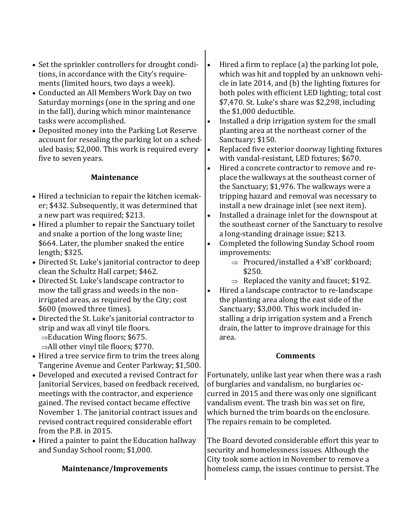- Set the sprinkler controllers for drought conditions, in accordance with the City's requirements (limited hours, two days a week).
- Conducted an All Members Work Day on two Saturday mornings (one in the spring and one in the fall), during which minor maintenance tasks were accomplished.
- Deposited money into the Parking Lot Reserve account for resealing the parking lot on a scheduled basis; \$2,000. This work is required every five to seven years.

#### **Maintenance**

- Hired a technician to repair the kitchen icemaker; \$432. Subsequently, it was determined that a new part was required; \$213.
- Hired a plumber to repair the Sanctuary toilet and snake a portion of the long waste line; \$664. Later, the plumber snaked the entire length; \$325.
- Directed St. Luke's janitorial contractor to deep clean the Schultz Hall carpet; \$462.
- Directed St. Luke's landscape contractor to mow the tall grass and weeds in the nonirrigated areas, as required by the City; cost \$600 (mowed three times).
- Directed the St. Luke's janitorial contractor to strip and wax all vinyl tile floors.  $\Rightarrow$ Education Wing floors; \$675.  $\Rightarrow$ All other vinyl tile floors; \$770.
- Hired a tree service firm to trim the trees along Tangerine Avenue and Center Parkway; \$1,500.
- Developed and executed a revised Contract for Janitorial Services, based on feedback received, meetings with the contractor, and experience gained. The revised contact became effective November 1. The janitorial contract issues and revised contract required considerable effort from the P.B. in 2015.
- Hired a painter to paint the Education hallway and Sunday School room; \$1,000.

#### **Maintenance/Improvements**

- Hired a firm to replace (a) the parking lot pole, which was hit and toppled by an unknown vehicle in late 2014, and (b) the lighting fixtures for both poles with efficient LED lighting; total cost \$7,470. St. Luke's share was \$2,298, including the \$1,000 deductible.
- Installed a drip irrigation system for the small planting area at the northeast corner of the Sanctuary; \$150.
- Replaced five exterior doorway lighting fixtures with vandal-resistant, LED fixtures; \$670.
- Hired a concrete contractor to remove and replace the walkways at the southeast corner of the Sanctuary; \$1,976. The walkways were a tripping hazard and removal was necessary to install a new drainage inlet (see next item).
- Installed a drainage inlet for the downspout at the southeast corner of the Sanctuary to resolve a long-standing drainage issue; \$213.
- Completed the following Sunday School room improvements:
	- $\Rightarrow$  Procured/installed a 4'x8' corkboard; \$250.
	- $\Rightarrow$  Replaced the vanity and faucet; \$192.
- Hired a landscape contractor to re-landscape the planting area along the east side of the Sanctuary; \$3,000. This work included installing a drip irrigation system and a French drain, the latter to improve drainage for this area.

#### **Comments**

Fortunately, unlike last year when there was a rash of burglaries and vandalism, no burglaries occurred in 2015 and there was only one significant vandalism event. The trash bin was set on fire, which burned the trim boards on the enclosure. The repairs remain to be completed.

The Board devoted considerable effort this year to security and homelessness issues. Although the City took some action in November to remove a homeless camp, the issues continue to persist. The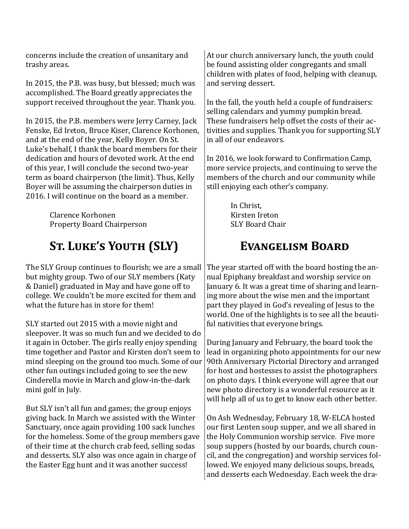concerns include the creation of unsanitary and trashy areas.

In 2015, the P.B. was busy, but blessed; much was accomplished. The Board greatly appreciates the support received throughout the year. Thank you.

In 2015, the P.B. members were Jerry Carney, Jack Fenske, Ed Ireton, Bruce Kiser, Clarence Korhonen, and at the end of the year, Kelly Boyer. On St. Luke's behalf, I thank the board members for their dedication and hours of devoted work. At the end of this year, I will conclude the second two-year term as board chairperson (the limit). Thus, Kelly Boyer will be assuming the chairperson duties in 2016. I will continue on the board as a member.

> Clarence Korhonen Property Board Chairperson

# **St. Luke's Youth (SLY)**

The SLY Group continues to flourish; we are a small but mighty group. Two of our SLY members (Katy & Daniel) graduated in May and have gone off to college. We couldn't be more excited for them and what the future has in store for them!

SLY started out 2015 with a movie night and sleepover. It was so much fun and we decided to do it again in October. The girls really enjoy spending time together and Pastor and Kirsten don't seem to mind sleeping on the ground too much. Some of our other fun outings included going to see the new Cinderella movie in March and glow-in-the-dark mini golf in July.

But SLY isn't all fun and games; the group enjoys giving back. In March we assisted with the Winter Sanctuary, once again providing 100 sack lunches for the homeless. Some of the group members gave of their time at the church crab feed, selling sodas and desserts. SLY also was once again in charge of the Easter Egg hunt and it was another success!

At our church anniversary lunch, the youth could be found assisting older congregants and small children with plates of food, helping with cleanup, and serving dessert.

In the fall, the youth held a couple of fundraisers: selling calendars and yummy pumpkin bread. These fundraisers help offset the costs of their activities and supplies. Thank you for supporting SLY in all of our endeavors.

In 2016, we look forward to Confirmation Camp, more service projects, and continuing to serve the members of the church and our community while still enjoying each other's company.

> In Christ, Kirsten Ireton SLY Board Chair

### **Evangelism Board**

The year started off with the board hosting the annual Epiphany breakfast and worship service on January 6. It was a great time of sharing and learning more about the wise men and the important part they played in God's revealing of Jesus to the world. One of the highlights is to see all the beautiful nativities that everyone brings.

During January and February, the board took the lead in organizing photo appointments for our new 90th Anniversary Pictorial Directory and arranged for host and hostesses to assist the photographers on photo days. I think everyone will agree that our new photo directory is a wonderful resource as it will help all of us to get to know each other better.

On Ash Wednesday, February 18, W-ELCA hosted our first Lenten soup supper, and we all shared in the Holy Communion worship service. Five more soup suppers (hosted by our boards, church council, and the congregation) and worship services followed. We enjoyed many delicious soups, breads, and desserts each Wednesday. Each week the dra-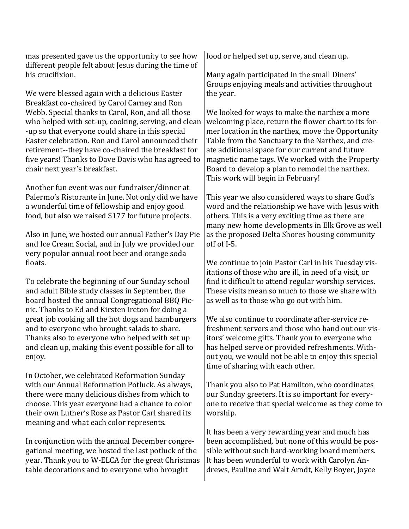mas presented gave us the opportunity to see how different people felt about Jesus during the time of his crucifixion.

We were blessed again with a delicious Easter Breakfast co-chaired by Carol Carney and Ron Webb. Special thanks to Carol, Ron, and all those who helped with set-up, cooking, serving, and clean -up so that everyone could share in this special Easter celebration. Ron and Carol announced their retirement--they have co-chaired the breakfast for five years! Thanks to Dave Davis who has agreed to chair next year's breakfast.

Another fun event was our fundraiser/dinner at Palermo's Ristorante in June. Not only did we have a wonderful time of fellowship and enjoy good food, but also we raised \$177 for future projects.

Also in June, we hosted our annual Father's Day Pie and Ice Cream Social, and in July we provided our very popular annual root beer and orange soda floats.

To celebrate the beginning of our Sunday school and adult Bible study classes in September, the board hosted the annual Congregational BBQ Picnic. Thanks to Ed and Kirsten Ireton for doing a great job cooking all the hot dogs and hamburgers and to everyone who brought salads to share. Thanks also to everyone who helped with set up and clean up, making this event possible for all to enjoy.

In October, we celebrated Reformation Sunday with our Annual Reformation Potluck. As always, there were many delicious dishes from which to choose. This year everyone had a chance to color their own Luther's Rose as Pastor Carl shared its meaning and what each color represents.

In conjunction with the annual December congregational meeting, we hosted the last potluck of the year. Thank you to W-ELCA for the great Christmas table decorations and to everyone who brought

food or helped set up, serve, and clean up.

Many again participated in the small Diners' Groups enjoying meals and activities throughout the year.

We looked for ways to make the narthex a more welcoming place, return the flower chart to its former location in the narthex, move the Opportunity Table from the Sanctuary to the Narthex, and create additional space for our current and future magnetic name tags. We worked with the Property Board to develop a plan to remodel the narthex. This work will begin in February!

This year we also considered ways to share God's word and the relationship we have with Jesus with others. This is a very exciting time as there are many new home developments in Elk Grove as well as the proposed Delta Shores housing community off of I-5.

We continue to join Pastor Carl in his Tuesday visitations of those who are ill, in need of a visit, or find it difficult to attend regular worship services. These visits mean so much to those we share with as well as to those who go out with him.

We also continue to coordinate after-service refreshment servers and those who hand out our visitors' welcome gifts. Thank you to everyone who has helped serve or provided refreshments. Without you, we would not be able to enjoy this special time of sharing with each other.

Thank you also to Pat Hamilton, who coordinates our Sunday greeters. It is so important for everyone to receive that special welcome as they come to worship.

It has been a very rewarding year and much has been accomplished, but none of this would be possible without such hard-working board members. It has been wonderful to work with Carolyn Andrews, Pauline and Walt Arndt, Kelly Boyer, Joyce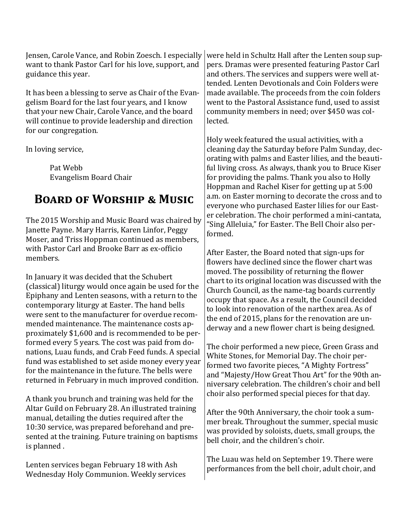Jensen, Carole Vance, and Robin Zoesch. I especially want to thank Pastor Carl for his love, support, and guidance this year.

It has been a blessing to serve as Chair of the Evangelism Board for the last four years, and I know that your new Chair, Carole Vance, and the board will continue to provide leadership and direction for our congregation.

In loving service,

Pat Webb Evangelism Board Chair

### **Board of Worship & Music**

The 2015 Worship and Music Board was chaired by Janette Payne. Mary Harris, Karen Linfor, Peggy Moser, and Triss Hoppman continued as members, with Pastor Carl and Brooke Barr as ex-officio members.

In January it was decided that the Schubert (classical) liturgy would once again be used for the Epiphany and Lenten seasons, with a return to the contemporary liturgy at Easter. The hand bells were sent to the manufacturer for overdue recommended maintenance. The maintenance costs approximately \$1,600 and is recommended to be performed every 5 years. The cost was paid from donations, Luau funds, and Crab Feed funds. A special fund was established to set aside money every year for the maintenance in the future. The bells were returned in February in much improved condition.

A thank you brunch and training was held for the Altar Guild on February 28. An illustrated training manual, detailing the duties required after the 10:30 service, was prepared beforehand and presented at the training. Future training on baptisms is planned .

Lenten services began February 18 with Ash Wednesday Holy Communion. Weekly services were held in Schultz Hall after the Lenten soup suppers. Dramas were presented featuring Pastor Carl and others. The services and suppers were well attended. Lenten Devotionals and Coin Folders were made available. The proceeds from the coin folders went to the Pastoral Assistance fund, used to assist community members in need; over \$450 was collected.

Holy week featured the usual activities, with a cleaning day the Saturday before Palm Sunday, decorating with palms and Easter lilies, and the beautiful living cross. As always, thank you to Bruce Kiser for providing the palms. Thank you also to Holly Hoppman and Rachel Kiser for getting up at 5:00 a.m. on Easter morning to decorate the cross and to everyone who purchased Easter lilies for our Easter celebration. The choir performed a mini-cantata, "Sing Alleluia," for Easter. The Bell Choir also performed.

After Easter, the Board noted that sign-ups for flowers have declined since the flower chart was moved. The possibility of returning the flower chart to its original location was discussed with the Church Council, as the name-tag boards currently occupy that space. As a result, the Council decided to look into renovation of the narthex area. As of the end of 2015, plans for the renovation are underway and a new flower chart is being designed.

The choir performed a new piece, Green Grass and White Stones, for Memorial Day. The choir performed two favorite pieces, "A Mighty Fortress" and "Majesty/How Great Thou Art" for the 90th anniversary celebration. The children's choir and bell choir also performed special pieces for that day.

After the 90th Anniversary, the choir took a summer break. Throughout the summer, special music was provided by soloists, duets, small groups, the bell choir, and the children's choir.

The Luau was held on September 19. There were performances from the bell choir, adult choir, and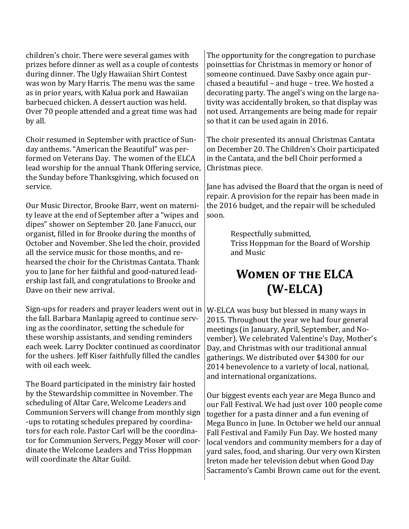children's choir. There were several games with prizes before dinner as well as a couple of contests during dinner. The Ugly Hawaiian Shirt Contest was won by Mary Harris. The menu was the same as in prior years, with Kalua pork and Hawaiian barbecued chicken. A dessert auction was held. Over 70 people attended and a great time was had by all.

Choir resumed in September with practice of Sunday anthems. "American the Beautiful" was performed on Veterans Day. The women of the ELCA lead worship for the annual Thank Offering service, the Sunday before Thanksgiving, which focused on service.

Our Music Director, Brooke Barr, went on maternity leave at the end of September after a "wipes and dipes" shower on September 20. Jane Fanucci, our organist, filled in for Brooke during the months of October and November. She led the choir, provided all the service music for those months, and rehearsed the choir for the Christmas Cantata. Thank you to Jane for her faithful and good-natured leadership last fall, and congratulations to Brooke and Dave on their new arrival.

Sign-ups for readers and prayer leaders went out in the fall. Barbara Manlapig agreed to continue serving as the coordinator, setting the schedule for these worship assistants, and sending reminders each week. Larry Dockter continued as coordinator for the ushers. Jeff Kiser faithfully filled the candles with oil each week.

The Board participated in the ministry fair hosted by the Stewardship committee in November. The scheduling of Altar Care, Welcome Leaders and Communion Servers will change from monthly sign -ups to rotating schedules prepared by coordinators for each role. Pastor Carl will be the coordinator for Communion Servers, Peggy Moser will coordinate the Welcome Leaders and Triss Hoppman will coordinate the Altar Guild.

The opportunity for the congregation to purchase poinsettias for Christmas in memory or honor of someone continued. Dave Saxby once again purchased a beautiful – and huge – tree. We hosted a decorating party. The angel's wing on the large nativity was accidentally broken, so that display was not used. Arrangements are being made for repair so that it can be used again in 2016.

The choir presented its annual Christmas Cantata on December 20. The Children's Choir participated in the Cantata, and the bell Choir performed a Christmas piece.

Jane has advised the Board that the organ is need of repair. A provision for the repair has been made in the 2016 budget, and the repair will be scheduled soon.

> Respectfully submitted, Triss Hoppman for the Board of Worship and Music

### **Women of the ELCA (W-ELCA)**

W-ELCA was busy but blessed in many ways in 2015. Throughout the year we had four general meetings (in January, April, September, and November). We celebrated Valentine's Day, Mother's Day, and Christmas with our traditional annual gatherings. We distributed over \$4300 for our 2014 benevolence to a variety of local, national, and international organizations.

Our biggest events each year are Mega Bunco and our Fall Festival. We had just over 100 people come together for a pasta dinner and a fun evening of Mega Bunco in June. In October we held our annual Fall Festival and Family Fun Day. We hosted many local vendors and community members for a day of yard sales, food, and sharing. Our very own Kirsten Ireton made her television debut when Good Day Sacramento's Cambi Brown came out for the event.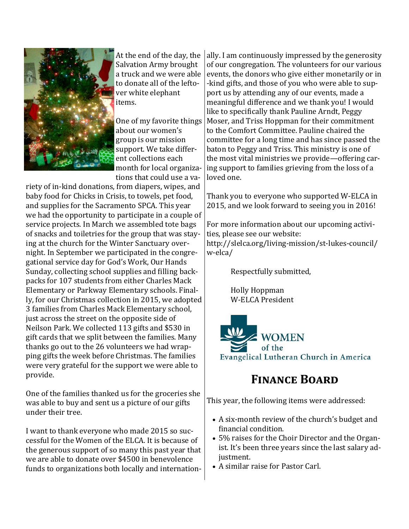

At the end of the day, the Salvation Army brought a truck and we were able to donate all of the leftover white elephant items.

One of my favorite things about our women's group is our mission support. We take different collections each month for local organizations that could use a va-

riety of in-kind donations, from diapers, wipes, and baby food for Chicks in Crisis, to towels, pet food, and supplies for the Sacramento SPCA. This year we had the opportunity to participate in a couple of service projects. In March we assembled tote bags of snacks and toiletries for the group that was staying at the church for the Winter Sanctuary overnight. In September we participated in the congregational service day for God's Work, Our Hands Sunday, collecting school supplies and filling backpacks for 107 students from either Charles Mack Elementary or Parkway Elementary schools. Finally, for our Christmas collection in 2015, we adopted 3 families from Charles Mack Elementary school, just across the street on the opposite side of Neilson Park. We collected 113 gifts and \$530 in gift cards that we split between the families. Many thanks go out to the 26 volunteers we had wrapping gifts the week before Christmas. The families were very grateful for the support we were able to provide.

One of the families thanked us for the groceries she was able to buy and sent us a picture of our gifts under their tree.

I want to thank everyone who made 2015 so successful for the Women of the ELCA. It is because of the generous support of so many this past year that we are able to donate over \$4500 in benevolence funds to organizations both locally and internation-

ally. I am continuously impressed by the generosity of our congregation. The volunteers for our various events, the donors who give either monetarily or in -kind gifts, and those of you who were able to support us by attending any of our events, made a meaningful difference and we thank you! I would like to specifically thank Pauline Arndt, Peggy Moser, and Triss Hoppman for their commitment to the Comfort Committee. Pauline chaired the committee for a long time and has since passed the baton to Peggy and Triss. This ministry is one of the most vital ministries we provide—offering caring support to families grieving from the loss of a loved one.

Thank you to everyone who supported W-ELCA in 2015, and we look forward to seeing you in 2016!

For more information about our upcoming activities, please see our website:

http://slelca.org/living-mission/st-lukes-council/ w-elca/

Respectfully submitted,

Holly Hoppman W-ELCA President



### **Finance Board**

This year, the following items were addressed:

- A six-month review of the church's budget and financial condition.
- 5% raises for the Choir Director and the Organist. It's been three years since the last salary adjustment.
- A similar raise for Pastor Carl.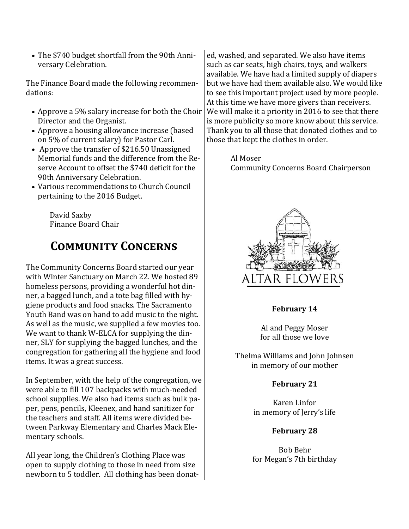The \$740 budget shortfall from the 90th Anniversary Celebration.

The Finance Board made the following recommendations:

- Approve a 5% salary increase for both the Choir Director and the Organist.
- Approve a housing allowance increase (based on 5% of current salary) for Pastor Carl.
- Approve the transfer of \$216.50 Unassigned Memorial funds and the difference from the Reserve Account to offset the \$740 deficit for the 90th Anniversary Celebration.
- Various recommendations to Church Council pertaining to the 2016 Budget.

David Saxby Finance Board Chair

### **Community Concerns**

The Community Concerns Board started our year with Winter Sanctuary on March 22. We hosted 89 homeless persons, providing a wonderful hot dinner, a bagged lunch, and a tote bag filled with hygiene products and food snacks. The Sacramento Youth Band was on hand to add music to the night. As well as the music, we supplied a few movies too. We want to thank W-ELCA for supplying the dinner, SLY for supplying the bagged lunches, and the congregation for gathering all the hygiene and food items. It was a great success.

In September, with the help of the congregation, we were able to fill 107 backpacks with much-needed school supplies. We also had items such as bulk paper, pens, pencils, Kleenex, and hand sanitizer for the teachers and staff. All items were divided between Parkway Elementary and Charles Mack Elementary schools.

All year long, the Children's Clothing Place was open to supply clothing to those in need from size newborn to 5 toddler. All clothing has been donat-

ed, washed, and separated. We also have items such as car seats, high chairs, toys, and walkers available. We have had a limited supply of diapers but we have had them available also. We would like to see this important project used by more people. At this time we have more givers than receivers. We will make it a priority in 2016 to see that there is more publicity so more know about this service. Thank you to all those that donated clothes and to those that kept the clothes in order.

> Al Moser Community Concerns Board Chairperson



**February 14**

Al and Peggy Moser for all those we love

Thelma Williams and John Johnsen in memory of our mother

#### **February 21**

Karen Linfor in memory of Jerry's life

#### **February 28**

Bob Behr for Megan's 7th birthday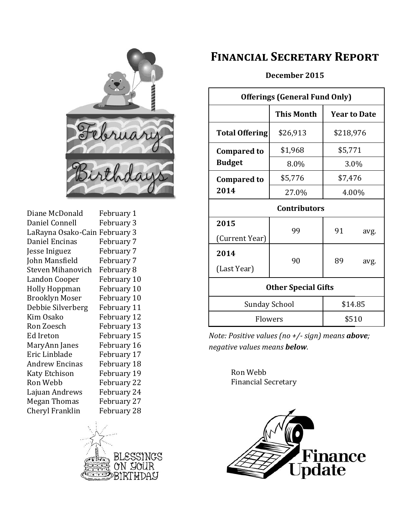

Diane McDonald February 1 Daniel Connell February 3 LaRayna Osako-Cain February 3 Daniel Encinas February 7 Jesse Iniguez February 7 John Mansfield February 7 Steven Mihanovich February 8 Landon Cooper February 10 Holly Hoppman February 10 Brooklyn Moser February 10 Debbie Silverberg February 11 Kim Osako February 12 Ron Zoesch February 13 Ed Ireton February 15 MaryAnn Janes February 16 Eric Linblade February 17 Andrew Encinas February 18 Katy Etchison February 19 Ron Webb February 22 Lajuan Andrews February 24 Megan Thomas February 27 Cheryl Franklin February 28



### **Financial Secretary Report**

#### **December 2015**

| <b>Offerings (General Fund Only)</b> |            |                     |      |  |
|--------------------------------------|------------|---------------------|------|--|
|                                      | This Month | <b>Year to Date</b> |      |  |
| <b>Total Offering</b>                | \$26,913   | \$218,976           |      |  |
| <b>Compared to</b><br><b>Budget</b>  | \$1,968    | \$5,771             |      |  |
|                                      | 8.0%       | 3.0%                |      |  |
| <b>Compared to</b>                   | \$5,776    | \$7,476<br>4.00%    |      |  |
| 2014                                 | 27.0%      |                     |      |  |
| <b>Contributors</b>                  |            |                     |      |  |
| 2015                                 | 99         | 91                  | avg. |  |
| (Current Year)                       |            |                     |      |  |
| 2014                                 | 90         | 89                  | avg. |  |
| (Last Year)                          |            |                     |      |  |
| <b>Other Special Gifts</b>           |            |                     |      |  |
| <b>Sunday School</b>                 |            | \$14.85             |      |  |
| Flowers                              |            | \$510               |      |  |

*Note: Positive values (no +/- sign) means above; negative values means below.*

> Ron Webb Financial Secretary

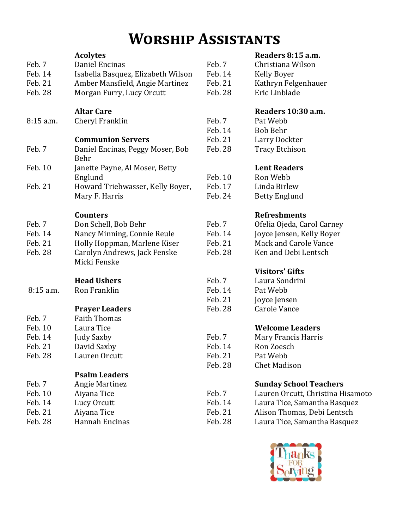# **Worship Assistants**

|                    | <b>Acolytes</b>                          |                    | Readers 8:15 a.m.                    |  |
|--------------------|------------------------------------------|--------------------|--------------------------------------|--|
| Feb. 7             | Daniel Encinas                           | Feb. 7             | Christiana Wilson                    |  |
| Feb. 14            | Isabella Basquez, Elizabeth Wilson       | Feb. 14            | <b>Kelly Boyer</b>                   |  |
| Feb. 21<br>Feb. 28 | Amber Mansfield, Angie Martinez          | Feb. 21<br>Feb. 28 | Kathryn Felgenhauer<br>Eric Linblade |  |
|                    | Morgan Furry, Lucy Orcutt                |                    |                                      |  |
|                    | <b>Altar Care</b>                        |                    | Readers 10:30 a.m.                   |  |
| 8:15 a.m.          | Cheryl Franklin                          | Feb. 7             | Pat Webb                             |  |
|                    |                                          | Feb. 14            | <b>Bob Behr</b>                      |  |
|                    | <b>Communion Servers</b>                 | Feb. 21            | Larry Dockter                        |  |
| Feb. 7             | Daniel Encinas, Peggy Moser, Bob<br>Behr | Feb. 28            | <b>Tracy Etchison</b>                |  |
| Feb. 10            | Janette Payne, Al Moser, Betty           |                    | <b>Lent Readers</b>                  |  |
|                    | Englund                                  | Feb. 10            | Ron Webb                             |  |
| Feb. 21            | Howard Triebwasser, Kelly Boyer,         | Feb. 17            | Linda Birlew                         |  |
|                    | Mary F. Harris                           | Feb. 24            | <b>Betty Englund</b>                 |  |
|                    |                                          |                    |                                      |  |
|                    | <b>Counters</b>                          |                    | <b>Refreshments</b>                  |  |
| Feb. 7             | Don Schell, Bob Behr                     | Feb. 7             | Ofelia Ojeda, Carol Carney           |  |
| Feb. 14            | Nancy Minning, Connie Reule              | Feb. 14            | Joyce Jensen, Kelly Boyer            |  |
| Feb. 21            | Holly Hoppman, Marlene Kiser             | Feb. 21            | <b>Mack and Carole Vance</b>         |  |
| Feb. 28            | Carolyn Andrews, Jack Fenske             | Feb. 28            | Ken and Debi Lentsch                 |  |
|                    | Micki Fenske                             |                    |                                      |  |
|                    |                                          |                    | <b>Visitors' Gifts</b>               |  |
|                    | <b>Head Ushers</b>                       | Feb. 7             | Laura Sondrini                       |  |
| 8:15 a.m.          | Ron Franklin                             | Feb. 14            | Pat Webb                             |  |
|                    |                                          | Feb. 21            | Joyce Jensen                         |  |
|                    | <b>Prayer Leaders</b>                    | Feb. 28            | Carole Vance                         |  |
| Feb. 7             | <b>Faith Thomas</b>                      |                    |                                      |  |
| Feb. 10            | Laura Tice                               |                    | <b>Welcome Leaders</b>               |  |
| Feb. 14            | <b>Judy Saxby</b>                        | Feb. 7             | Mary Francis Harris                  |  |
| Feb. 21            | David Saxby                              | Feb. 14            | Ron Zoesch                           |  |
| Feb. 28            | Lauren Orcutt                            | Feb. 21            | Pat Webb                             |  |
|                    |                                          | Feb. 28            | <b>Chet Madison</b>                  |  |
|                    | <b>Psalm Leaders</b>                     |                    |                                      |  |
| Feb. 7             | <b>Angie Martinez</b>                    |                    | <b>Sunday School Teachers</b>        |  |
| Feb. 10            | Aiyana Tice                              | Feb. 7             | Lauren Orcutt, Christina Hisamoto    |  |
| Feb. 14            | Lucy Orcutt                              | Feb. 14            | Laura Tice, Samantha Basquez         |  |
| Feb. 21            | Aiyana Tice                              | Feb. 21            | Alison Thomas, Debi Lentsch          |  |
| Feb. 28            | Hannah Encinas                           | Feb. 28            | Laura Tice, Samantha Basquez         |  |